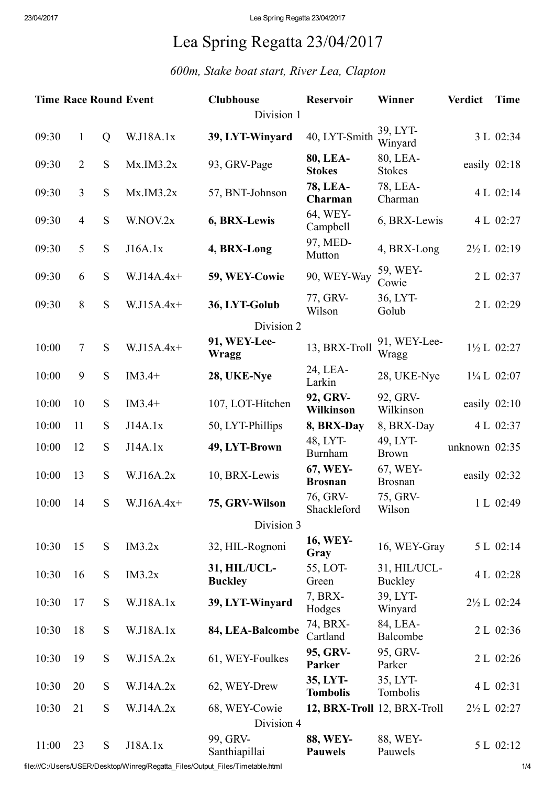## Lea Spring Regatta 23/04/2017

## *600m, Stake boat start, River Lea, Clapton*

| <b>Time Race Round Event</b> |                |           |              | <b>Clubhouse</b>               | <b>Reservoir</b>                  | Winner                      | <b>Verdict</b> | <b>Time</b>            |  |
|------------------------------|----------------|-----------|--------------|--------------------------------|-----------------------------------|-----------------------------|----------------|------------------------|--|
| Division 1                   |                |           |              |                                |                                   |                             |                |                        |  |
| 09:30                        | $\mathbf{1}$   | Q         | W.J18A.1x    | 39, LYT-Winyard                | 40, LYT-Smith                     | 39, LYT-<br>Winyard         |                | 3 L 02:34              |  |
| 09:30                        | $\overline{2}$ | S         | Mx.IM3.2x    | 93, GRV-Page                   | 80, LEA-<br><b>Stokes</b>         | 80, LEA-<br><b>Stokes</b>   |                | easily 02:18           |  |
| 09:30                        | $\overline{3}$ | S         | Mx.IM3.2x    | 57, BNT-Johnson                | <b>78, LEA-</b><br>Charman        | 78, LEA-<br>Charman         |                | 4 L 02:14              |  |
| 09:30                        | $\overline{4}$ | S         | W.NOV.2x     | 6, BRX-Lewis                   | 64, WEY-<br>Campbell              | 6, BRX-Lewis                |                | 4 L 02:27              |  |
| 09:30                        | 5              | S         | J16A.1x      | 4, BRX-Long                    | 97, MED-<br>Mutton                | 4, BRX-Long                 |                | 2½ L 02:19             |  |
| 09:30                        | 6              | S         | $W.J14A.4x+$ | 59, WEY-Cowie                  | 90, WEY-Way                       | 59, WEY-<br>Cowie           |                | 2 L 02:37              |  |
| 09:30                        | 8              | S         | $W.J15A.4x+$ | 36, LYT-Golub                  | 77, GRV-<br>Wilson                | 36, LYT-<br>Golub           |                | 2 L 02:29              |  |
|                              |                |           |              | Division 2                     |                                   |                             |                |                        |  |
| 10:00                        | $\tau$         | ${\bf S}$ | $W.J15A.4x+$ | 91, WEY-Lee-<br><b>Wragg</b>   | 13, BRX-Troll                     | 91, WEY-Lee-<br>Wragg       |                | 1½ L 02:27             |  |
| 10:00                        | 9              | S         | $IM3.4+$     | 28, UKE-Nye                    | 24, LEA-<br>Larkin                | 28, UKE-Nye                 |                | $1\frac{1}{4}$ L 02:07 |  |
| 10:00                        | 10             | S         | $IM3.4+$     | 107, LOT-Hitchen               | 92, GRV-<br><b>Wilkinson</b>      | 92, GRV-<br>Wilkinson       |                | easily $02:10$         |  |
| 10:00                        | 11             | ${\bf S}$ | J14A.1x      | 50, LYT-Phillips               | 8, BRX-Day                        | 8, BRX-Day                  |                | 4 L 02:37              |  |
| 10:00                        | 12             | S         | J14A.1x      | 49, LYT-Brown                  | 48, LYT-<br>Burnham               | 49, LYT-<br><b>Brown</b>    | unknown 02:35  |                        |  |
| 10:00                        | 13             | S         | W.J16A.2x    | 10, BRX-Lewis                  | 67, WEY-<br><b>Brosnan</b>        | 67, WEY-<br><b>Brosnan</b>  |                | easily 02:32           |  |
| 10:00                        | 14             | S         | $W.J16A.4x+$ | 75, GRV-Wilson                 | 76, GRV-<br>Shackleford           | 75, GRV-<br>Wilson          |                | 1 L 02:49              |  |
|                              | Division 3     |           |              |                                |                                   |                             |                |                        |  |
| 10:30                        | 15             | S         | IM3.2x       | 32, HIL-Rognoni                | <b>16, WEY-</b><br>Gray           | 16, WEY-Gray                |                | 5 L 02:14              |  |
| 10:30                        | 16             | S         | IM3.2x       | 31, HIL/UCL-<br><b>Buckley</b> | 55, LOT-<br>Green                 | 31, HIL/UCL-<br>Buckley     |                | 4 L 02:28              |  |
| 10:30                        | 17             | S         | W.J18A.1x    | 39, LYT-Winyard                | 7, BRX-<br>Hodges                 | 39, LYT-<br>Winyard         |                | $2\frac{1}{2}$ L 02:24 |  |
| 10:30                        | 18             | S         | W.J18A.1x    | 84, LEA-Balcombe               | 74, BRX-<br>Cartland              | 84, LEA-<br>Balcombe        |                | 2 L 02:36              |  |
| 10:30                        | 19             | S         | W.J15A.2x    | 61, WEY-Foulkes                | 95, GRV-<br>Parker                | 95, GRV-<br>Parker          |                | 2 L 02:26              |  |
| 10:30                        | 20             | S         | W.J14A.2x    | 62, WEY-Drew                   | 35, LYT-<br><b>Tombolis</b>       | 35, LYT-<br>Tombolis        |                | 4 L 02:31              |  |
| 10:30                        | 21             | S         | W.J14A.2x    | 68, WEY-Cowie                  |                                   | 12, BRX-Troll 12, BRX-Troll |                | 2½ L 02:27             |  |
| Division 4                   |                |           |              |                                |                                   |                             |                |                        |  |
| 11:00                        | 23             | S         | J18A.1x      | 99, GRV-<br>Santhiapillai      | <b>88, WEY-</b><br><b>Pauwels</b> | 88, WEY-<br>Pauwels         |                | 5 L 02:12              |  |

file:///C:/Users/USER/Desktop/Winreg/Regatta\_Files/Output\_Files/Timetable.html 1/4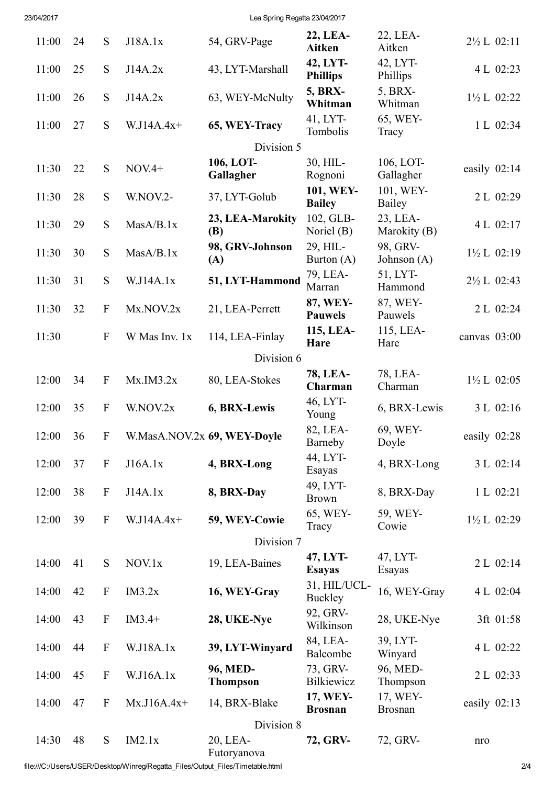23/04/2017 Lea Spring Regatta 23/04/2017

| 11:00      | 24 | S                         | J18A.1x                     | 54, GRV-Page                | 22, LEA-<br><b>Aitken</b>   | 22, LEA-<br>Aitken         | $2\frac{1}{2}$ L 02:11 |
|------------|----|---------------------------|-----------------------------|-----------------------------|-----------------------------|----------------------------|------------------------|
| 11:00      | 25 | S                         | J14A.2x                     | 43, LYT-Marshall            | 42, LYT-<br><b>Phillips</b> | 42, LYT-<br>Phillips       | 4 L 02:23              |
| 11:00      | 26 | S                         | J14A.2x                     | 63, WEY-McNulty             | <b>5, BRX-</b><br>Whitman   | 5, BRX-<br>Whitman         | $1\frac{1}{2}$ L 02:22 |
| 11:00      | 27 | S                         | $W.J14A.4x+$                | 65, WEY-Tracy               | 41, LYT-<br>Tombolis        | 65, WEY-<br>Tracy          | 1 L 02:34              |
|            |    |                           |                             | Division 5                  |                             |                            |                        |
|            |    |                           |                             | 106, LOT-                   | 30, HIL-                    | 106, LOT-                  |                        |
| 11:30      | 22 | S                         | $NOV.4+$                    | Gallagher                   | Rognoni                     | Gallagher                  | easily $02:14$         |
| 11:30      | 28 | S                         | W.NOV.2-                    | 37, LYT-Golub               | 101, WEY-<br><b>Bailey</b>  | 101, WEY-<br>Bailey        | 2 L 02:29              |
| 11:30      | 29 | S                         | MasA/B.1x                   | 23, LEA-Marokity<br>(B)     | 102, GLB-<br>Noriel (B)     | 23, LEA-<br>Marokity (B)   | 4 L 02:17              |
| 11:30      | 30 | S                         | MasA/B.1x                   | 98, GRV-Johnson<br>(A)      | 29, HIL-<br>Burton $(A)$    | 98, GRV-<br>Johnson (A)    | $1\frac{1}{2}L$ 02:19  |
| 11:30      | 31 | ${\bf S}$                 | W.J14A.1x                   | 51, LYT-Hammond             | 79, LEA-<br>Marran          | 51, LYT-<br>Hammond        | 2½ L 02:43             |
| 11:30      | 32 | $\boldsymbol{\mathrm{F}}$ | Mx.NOV.2x                   | 21, LEA-Perrett             | 87, WEY-<br><b>Pauwels</b>  | 87, WEY-<br>Pauwels        | 2 L 02:24              |
| 11:30      |    | ${\bf F}$                 | W Mas Inv. 1x               | 114, LEA-Finlay             | 115, LEA-<br>Hare           | 115, LEA-<br>Hare          | canvas 03:00           |
|            |    |                           |                             | Division 6                  |                             |                            |                        |
|            |    |                           |                             |                             | <b>78, LEA-</b>             | 78, LEA-                   |                        |
| 12:00      | 34 | $\mathbf F$               | Mx.IM3.2x                   | 80, LEA-Stokes              | Charman                     | Charman                    | $1\frac{1}{2}$ L 02:05 |
| 12:00      | 35 | ${\bf F}$                 | W.NOV.2x                    | 6, BRX-Lewis                | 46, LYT-<br>Young           | 6, BRX-Lewis               | 3 L 02:16              |
| 12:00      | 36 | $\boldsymbol{F}$          | W.MasA.NOV.2x 69, WEY-Doyle |                             | 82, LEA-<br>Barneby         | 69, WEY-<br>Doyle          | easily 02:28           |
| 12:00      | 37 | $\boldsymbol{F}$          | J16A.1x                     | 4, BRX-Long                 | 44, LYT-<br>Esayas          | 4, BRX-Long                | 3 L 02:14              |
| 12:00      | 38 | $\boldsymbol{\mathrm{F}}$ | J14A.1x                     | 8, BRX-Day                  | 49, LYT-<br><b>Brown</b>    | 8, BRX-Day                 | 1 L 02:21              |
| 12:00      | 39 | $\boldsymbol{\mathrm{F}}$ | $W.J14A.4x+$                | 59, WEY-Cowie               | 65, WEY-<br>Tracy           | 59, WEY-<br>Cowie          | 1½ L 02:29             |
|            |    |                           |                             | Division 7                  |                             |                            |                        |
| 14:00      | 41 | S                         | NOV.1x                      | 19, LEA-Baines              | 47, LYT-<br><b>Esayas</b>   | 47, LYT-<br>Esayas         | 2 L 02:14              |
| 14:00      | 42 | $\boldsymbol{F}$          | IM3.2x                      | 16, WEY-Gray                | 31, HIL/UCL-<br>Buckley     | 16, WEY-Gray               | 4 L 02:04              |
| 14:00      | 43 | $\mathbf F$               | $IM3.4+$                    | 28, UKE-Nye                 | 92, GRV-<br>Wilkinson       | 28, UKE-Nye                | 3ft 01:58              |
| 14:00      | 44 | $\boldsymbol{F}$          | W.J18A.1x                   | 39, LYT-Winyard             | 84, LEA-<br>Balcombe        | 39, LYT-<br>Winyard        | 4 L 02:22              |
| 14:00      | 45 | $\boldsymbol{F}$          | W.J16A.1x                   | 96, MED-<br><b>Thompson</b> | 73, GRV-<br>Bilkiewicz      | 96, MED-<br>Thompson       | 2 L 02:33              |
| 14:00      | 47 | $\boldsymbol{F}$          | $Mx.J16A.4x+$               | 14, BRX-Blake               | 17, WEY-<br><b>Brosnan</b>  | 17, WEY-<br><b>Brosnan</b> | easily 02:13           |
| Division 8 |    |                           |                             |                             |                             |                            |                        |
| 14:30      | 48 | ${\bf S}$                 | IM2.1x                      | 20, LEA-<br>Futoryanova     | 72, GRV-                    | 72, GRV-                   | nro                    |

file:///C:/Users/USER/Desktop/Winreg/Regatta\_Files/Output\_Files/Timetable.html 2/4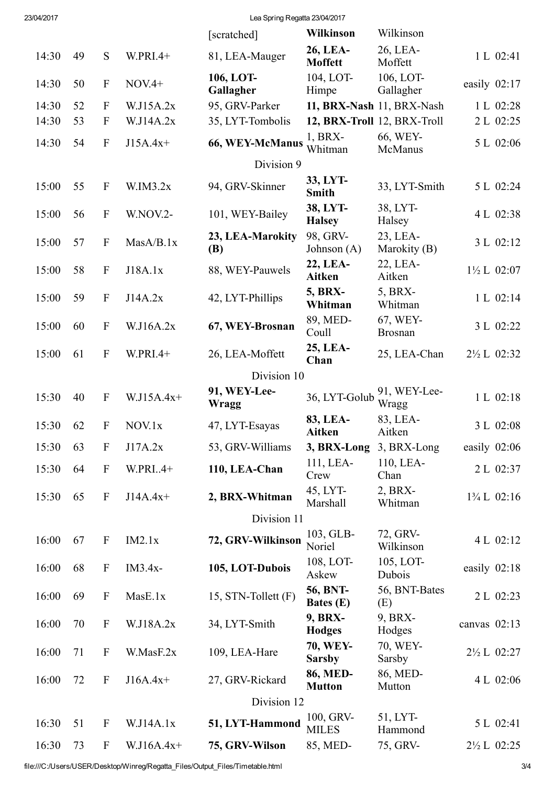23/04/2017 Lea Spring Regatta 23/04/2017

|             |    |                           |              | [scratched]                    | <b>Wilkinson</b>             | Wilkinson                   |                        |  |
|-------------|----|---------------------------|--------------|--------------------------------|------------------------------|-----------------------------|------------------------|--|
| 14:30       | 49 | S                         | W.PRI.4+     | 81, LEA-Mauger                 | 26, LEA-<br><b>Moffett</b>   | 26, LEA-<br>Moffett         | 1 L 02:41              |  |
| 14:30       | 50 | $\boldsymbol{\mathrm{F}}$ | $NOV.4+$     | 106, LOT-<br>Gallagher         | 104, LOT-<br>Himpe           | 106, LOT-<br>Gallagher      | easily $02:17$         |  |
| 14:30       | 52 | ${\bf F}$                 | W.J15A.2x    | 95, GRV-Parker                 |                              | 11, BRX-Nash 11, BRX-Nash   | 1 L 02:28              |  |
| 14:30       | 53 | $\mathbf{F}$              | W.J14A.2x    | 35, LYT-Tombolis               |                              | 12, BRX-Troll 12, BRX-Troll | 2 L 02:25              |  |
| 14:30       | 54 | $\mathbf F$               | $J15A.4x+$   | 66, WEY-McManus                | $1, BRX-$<br>Whitman         | 66, WEY-<br>McManus         | 5 L 02:06              |  |
| Division 9  |    |                           |              |                                |                              |                             |                        |  |
| 15:00       | 55 | $\mathbf F$               | W.IM3.2x     | 94, GRV-Skinner                | 33, LYT-<br><b>Smith</b>     | 33, LYT-Smith               | 5 L 02:24              |  |
| 15:00       | 56 | $\boldsymbol{\mathrm{F}}$ | W.NOV.2-     | 101, WEY-Bailey                | 38, LYT-<br><b>Halsey</b>    | 38, LYT-<br>Halsey          | 4 L 02:38              |  |
| 15:00       | 57 | $\mathbf{F}$              | MasA/B.1x    | 23, LEA-Marokity<br><b>(B)</b> | 98, GRV-<br>Johnson $(A)$    | 23, LEA-<br>Marokity (B)    | 3 L 02:12              |  |
| 15:00       | 58 | $\boldsymbol{\mathrm{F}}$ | J18A.1x      | 88, WEY-Pauwels                | 22, LEA-<br><b>Aitken</b>    | 22, LEA-<br>Aitken          | $1\frac{1}{2} L$ 02:07 |  |
| 15:00       | 59 | $\mathbf F$               | J14A.2x      | 42, LYT-Phillips               | <b>5, BRX-</b><br>Whitman    | 5, BRX-<br>Whitman          | 1 L 02:14              |  |
| 15:00       | 60 | ${\bf F}$                 | W.J16A.2x    | 67, WEY-Brosnan                | 89, MED-<br>Coull            | 67, WEY-<br><b>Brosnan</b>  | 3 L 02:22              |  |
| 15:00       | 61 | ${\bf F}$                 | $W.PRI.4+$   | 26, LEA-Moffett                | 25, LEA-<br>Chan             | 25, LEA-Chan                | $2\frac{1}{2}$ L 02:32 |  |
|             |    |                           |              | Division 10                    |                              |                             |                        |  |
| 15:30       | 40 | ${\bf F}$                 | $W.J15A.4x+$ | 91, WEY-Lee-<br>Wragg          | 36, LYT-Golub                | 91, WEY-Lee-<br>Wragg       | 1 L 02:18              |  |
| 15:30       | 62 | ${\bf F}$                 | NOV.1x       | 47, LYT-Esayas                 | 83, LEA-<br>Aitken           | 83, LEA-<br>Aitken          | 3 L 02:08              |  |
| 15:30       | 63 | $\boldsymbol{F}$          | J17A.2x      | 53, GRV-Williams               | 3, BRX-Long                  | 3, BRX-Long                 | easily 02:06           |  |
| 15:30       | 64 | ${\bf F}$                 | W.PRI4+      | 110, LEA-Chan                  | 111, LEA-<br>Crew            | 110, LEA-<br>Chan           | 2 L 02:37              |  |
| 15:30       | 65 | $\mathbf F$               | $J14A.4x+$   | 2, BRX-Whitman                 | 45, LYT-<br>Marshall         | 2, BRX-<br>Whitman          | $1\frac{3}{4}$ L 02:16 |  |
|             |    |                           |              | Division 11                    |                              |                             |                        |  |
| 16:00       | 67 | $\mathbf F$               | IM2.1x       | 72, GRV-Wilkinson              | 103, GLB-<br>Noriel          | 72, GRV-<br>Wilkinson       | 4 L 02:12              |  |
| 16:00       | 68 | $\mathbf{F}$              | $IM3.4x-$    | 105, LOT-Dubois                | 108, LOT-<br>Askew           | 105, LOT-<br>Dubois         | easily 02:18           |  |
| 16:00       | 69 | $\mathbf F$               | MasE.1x      | 15, STN-Tollett (F)            | 56, BNT-<br><b>Bates</b> (E) | 56, BNT-Bates<br>(E)        | 2 L 02:23              |  |
| 16:00       | 70 | ${\bf F}$                 | W.J18A.2x    | 34, LYT-Smith                  | 9, BRX-<br><b>Hodges</b>     | 9, BRX-<br>Hodges           | canvas $02:13$         |  |
| 16:00       | 71 | $\boldsymbol{F}$          | W.MasF.2x    | 109, LEA-Hare                  | 70, WEY-<br><b>Sarsby</b>    | 70, WEY-<br>Sarsby          | 2½ L 02:27             |  |
| 16:00       | 72 | $\mathbf F$               | $J16A.4x+$   | 27, GRV-Rickard                | 86, MED-<br><b>Mutton</b>    | 86, MED-<br>Mutton          | 4 L 02:06              |  |
| Division 12 |    |                           |              |                                |                              |                             |                        |  |
| 16:30       | 51 | $\boldsymbol{F}$          | W.J14A.1x    | 51, LYT-Hammond                | 100, GRV-<br><b>MILES</b>    | 51, LYT-<br>Hammond         | 5 L 02:41              |  |
| 16:30       | 73 | $\mathbf F$               | $W.J16A.4x+$ | 75, GRV-Wilson                 | 85, MED-                     | 75, GRV-                    | $2\frac{1}{2}$ L 02:25 |  |

file:///C:/Users/USER/Desktop/Winreg/Regatta\_Files/Output\_Files/Timetable.html 3/4